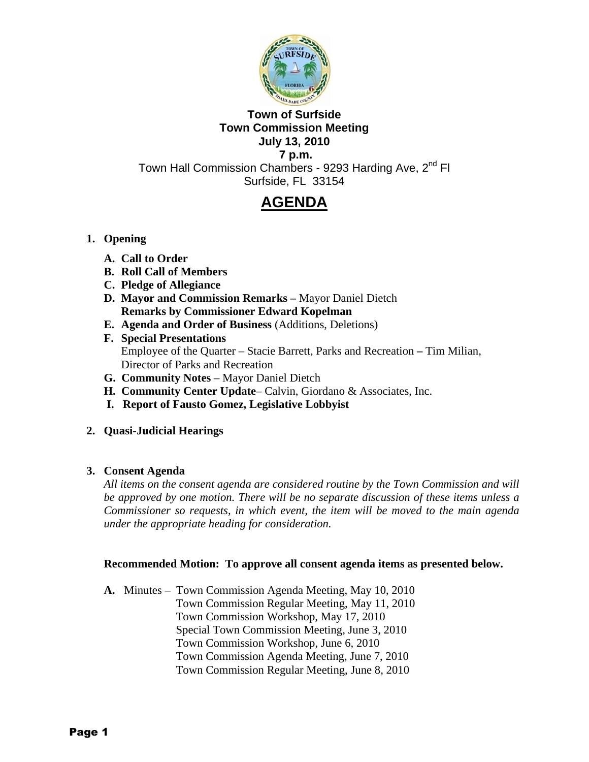

## **Town of Surfside Town Commission Meeting July 13, 2010 7 p.m.**

Town Hall Commission Chambers - 9293 Harding Ave, 2<sup>nd</sup> Fl Surfside, FL 33154

# **AGENDA**

# **1. Opening**

- **A. Call to Order**
- **B. Roll Call of Members**
- **C. Pledge of Allegiance**
- **D. Mayor and Commission Remarks** Mayor Daniel Dietch **Remarks by Commissioner Edward Kopelman**
- **E. Agenda and Order of Business** (Additions, Deletions)
- **F. Special Presentations** Employee of the Quarter – Stacie Barrett, Parks and Recreation **–** Tim Milian, Director of Parks and Recreation
- **G. Community Notes** Mayor Daniel Dietch
- **H. Community Center Update** Calvin, Giordano & Associates, Inc.
- **I. Report of Fausto Gomez, Legislative Lobbyist**

# **2. Quasi-Judicial Hearings**

# **3. Consent Agenda**

*All items on the consent agenda are considered routine by the Town Commission and will be approved by one motion. There will be no separate discussion of these items unless a Commissioner so requests, in which event, the item will be moved to the main agenda under the appropriate heading for consideration.* 

# **Recommended Motion: To approve all consent agenda items as presented below.**

**A.** Minutes – Town Commission Agenda Meeting, May 10, 2010 Town Commission Regular Meeting, May 11, 2010 Town Commission Workshop, May 17, 2010 Special Town Commission Meeting, June 3, 2010 Town Commission Workshop, June 6, 2010 Town Commission Agenda Meeting, June 7, 2010 Town Commission Regular Meeting, June 8, 2010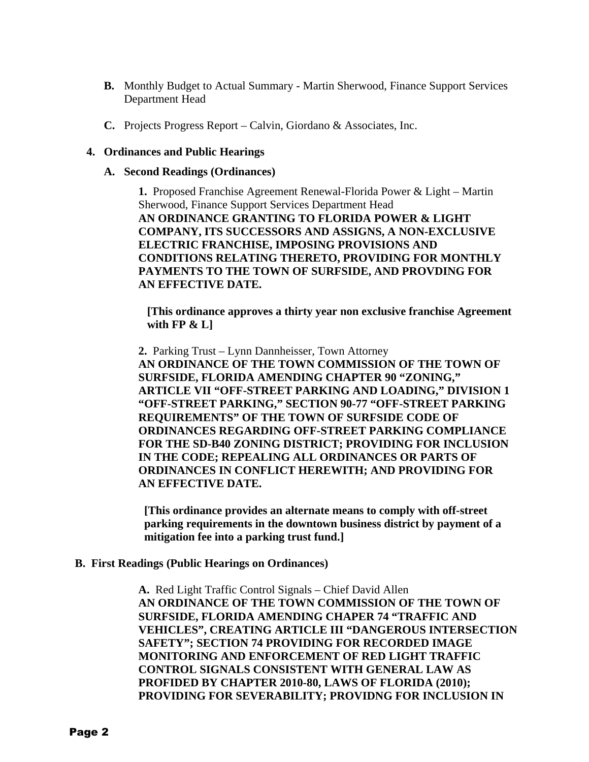- **B.** Monthly Budget to Actual Summary Martin Sherwood, Finance Support Services Department Head
- **C.** Projects Progress Report Calvin, Giordano & Associates, Inc.

## **4. Ordinances and Public Hearings**

### **A. Second Readings (Ordinances)**

 **1.** Proposed Franchise Agreement Renewal-Florida Power & Light – Martin Sherwood, Finance Support Services Department Head **AN ORDINANCE GRANTING TO FLORIDA POWER & LIGHT COMPANY, ITS SUCCESSORS AND ASSIGNS, A NON-EXCLUSIVE ELECTRIC FRANCHISE, IMPOSING PROVISIONS AND CONDITIONS RELATING THERETO, PROVIDING FOR MONTHLY PAYMENTS TO THE TOWN OF SURFSIDE, AND PROVDING FOR AN EFFECTIVE DATE.** 

 **[This ordinance approves a thirty year non exclusive franchise Agreement with FP & L]** 

 **2.** Parking Trust – Lynn Dannheisser, Town Attorney **AN ORDINANCE OF THE TOWN COMMISSION OF THE TOWN OF SURFSIDE, FLORIDA AMENDING CHAPTER 90 "ZONING," ARTICLE VII "OFF-STREET PARKING AND LOADING," DIVISION 1 "OFF-STREET PARKING," SECTION 90-77 "OFF-STREET PARKING REQUIREMENTS" OF THE TOWN OF SURFSIDE CODE OF ORDINANCES REGARDING OFF-STREET PARKING COMPLIANCE FOR THE SD-B40 ZONING DISTRICT; PROVIDING FOR INCLUSION IN THE CODE; REPEALING ALL ORDINANCES OR PARTS OF ORDINANCES IN CONFLICT HEREWITH; AND PROVIDING FOR AN EFFECTIVE DATE.** 

 **[This ordinance provides an alternate means to comply with off-street parking requirements in the downtown business district by payment of a mitigation fee into a parking trust fund.]** 

 **B. First Readings (Public Hearings on Ordinances)** 

**A.** Red Light Traffic Control Signals – Chief David Allen **AN ORDINANCE OF THE TOWN COMMISSION OF THE TOWN OF SURFSIDE, FLORIDA AMENDING CHAPER 74 "TRAFFIC AND VEHICLES", CREATING ARTICLE III "DANGEROUS INTERSECTION SAFETY"; SECTION 74 PROVIDING FOR RECORDED IMAGE MONITORING AND ENFORCEMENT OF RED LIGHT TRAFFIC CONTROL SIGNALS CONSISTENT WITH GENERAL LAW AS PROFIDED BY CHAPTER 2010-80, LAWS OF FLORIDA (2010); PROVIDING FOR SEVERABILITY; PROVIDNG FOR INCLUSION IN**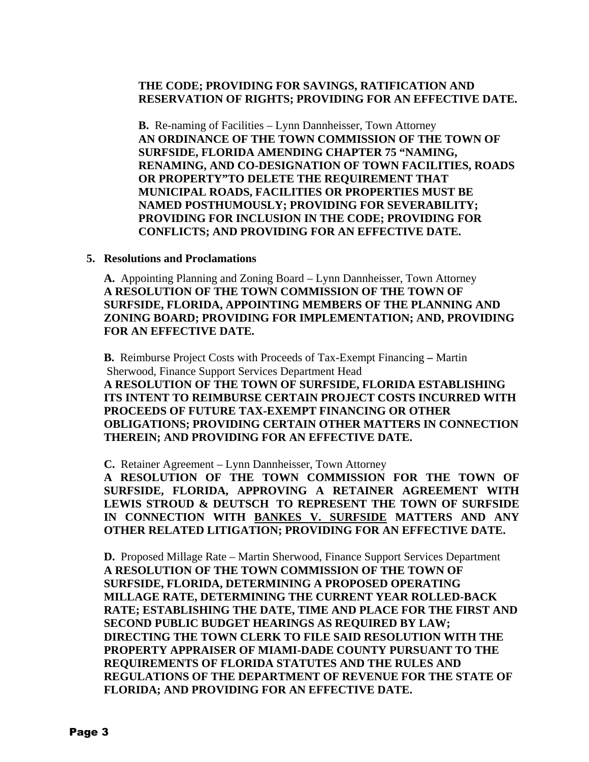## **THE CODE; PROVIDING FOR SAVINGS, RATIFICATION AND RESERVATION OF RIGHTS; PROVIDING FOR AN EFFECTIVE DATE.**

**B.** Re-naming of Facilities – Lynn Dannheisser, Town Attorney **AN ORDINANCE OF THE TOWN COMMISSION OF THE TOWN OF SURFSIDE, FLORIDA AMENDING CHAPTER 75 "NAMING, RENAMING, AND CO-DESIGNATION OF TOWN FACILITIES, ROADS OR PROPERTY"TO DELETE THE REQUIREMENT THAT MUNICIPAL ROADS, FACILITIES OR PROPERTIES MUST BE NAMED POSTHUMOUSLY; PROVIDING FOR SEVERABILITY; PROVIDING FOR INCLUSION IN THE CODE; PROVIDING FOR CONFLICTS; AND PROVIDING FOR AN EFFECTIVE DATE.** 

## **5. Resolutions and Proclamations**

**A.** Appointing Planning and Zoning Board – Lynn Dannheisser, Town Attorney **A RESOLUTION OF THE TOWN COMMISSION OF THE TOWN OF SURFSIDE, FLORIDA, APPOINTING MEMBERS OF THE PLANNING AND ZONING BOARD; PROVIDING FOR IMPLEMENTATION; AND, PROVIDING FOR AN EFFECTIVE DATE.** 

 **B.** Reimburse Project Costs with Proceeds of Tax-Exempt Financing **–** Martin Sherwood, Finance Support Services Department Head **A RESOLUTION OF THE TOWN OF SURFSIDE, FLORIDA ESTABLISHING ITS INTENT TO REIMBURSE CERTAIN PROJECT COSTS INCURRED WITH PROCEEDS OF FUTURE TAX-EXEMPT FINANCING OR OTHER OBLIGATIONS; PROVIDING CERTAIN OTHER MATTERS IN CONNECTION THEREIN; AND PROVIDING FOR AN EFFECTIVE DATE.** 

**C.** Retainer Agreement – Lynn Dannheisser, Town Attorney

**A RESOLUTION OF THE TOWN COMMISSION FOR THE TOWN OF SURFSIDE, FLORIDA, APPROVING A RETAINER AGREEMENT WITH LEWIS STROUD & DEUTSCH TO REPRESENT THE TOWN OF SURFSIDE IN CONNECTION WITH BANKES V. SURFSIDE MATTERS AND ANY OTHER RELATED LITIGATION; PROVIDING FOR AN EFFECTIVE DATE.** 

**D.** Proposed Millage Rate – Martin Sherwood, Finance Support Services Department **A RESOLUTION OF THE TOWN COMMISSION OF THE TOWN OF SURFSIDE, FLORIDA, DETERMINING A PROPOSED OPERATING MILLAGE RATE, DETERMINING THE CURRENT YEAR ROLLED-BACK RATE; ESTABLISHING THE DATE, TIME AND PLACE FOR THE FIRST AND SECOND PUBLIC BUDGET HEARINGS AS REQUIRED BY LAW; DIRECTING THE TOWN CLERK TO FILE SAID RESOLUTION WITH THE PROPERTY APPRAISER OF MIAMI-DADE COUNTY PURSUANT TO THE REQUIREMENTS OF FLORIDA STATUTES AND THE RULES AND REGULATIONS OF THE DEPARTMENT OF REVENUE FOR THE STATE OF FLORIDA; AND PROVIDING FOR AN EFFECTIVE DATE.**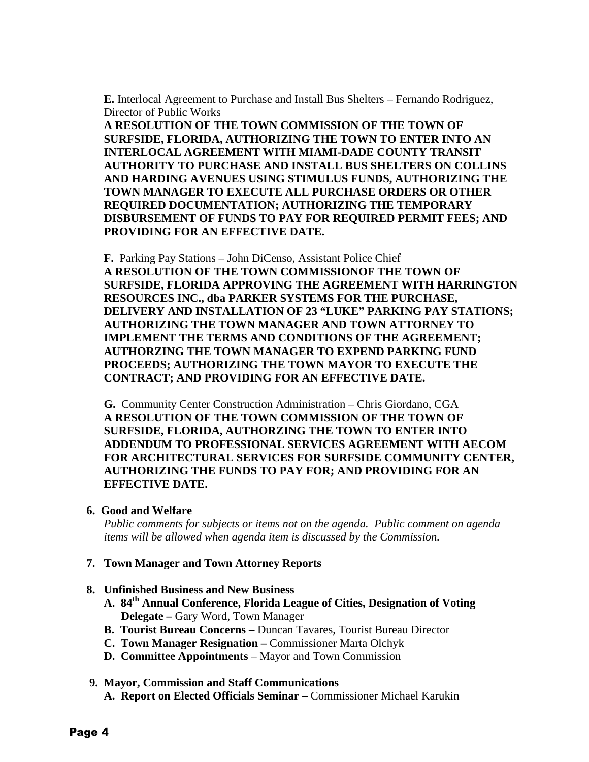**E.** Interlocal Agreement to Purchase and Install Bus Shelters – Fernando Rodriguez, Director of Public Works

**A RESOLUTION OF THE TOWN COMMISSION OF THE TOWN OF SURFSIDE, FLORIDA, AUTHORIZING THE TOWN TO ENTER INTO AN INTERLOCAL AGREEMENT WITH MIAMI-DADE COUNTY TRANSIT AUTHORITY TO PURCHASE AND INSTALL BUS SHELTERS ON COLLINS AND HARDING AVENUES USING STIMULUS FUNDS, AUTHORIZING THE TOWN MANAGER TO EXECUTE ALL PURCHASE ORDERS OR OTHER REQUIRED DOCUMENTATION; AUTHORIZING THE TEMPORARY DISBURSEMENT OF FUNDS TO PAY FOR REQUIRED PERMIT FEES; AND PROVIDING FOR AN EFFECTIVE DATE.** 

**F.** Parking Pay Stations – John DiCenso, Assistant Police Chief **A RESOLUTION OF THE TOWN COMMISSIONOF THE TOWN OF SURFSIDE, FLORIDA APPROVING THE AGREEMENT WITH HARRINGTON RESOURCES INC., dba PARKER SYSTEMS FOR THE PURCHASE, DELIVERY AND INSTALLATION OF 23 "LUKE" PARKING PAY STATIONS; AUTHORIZING THE TOWN MANAGER AND TOWN ATTORNEY TO IMPLEMENT THE TERMS AND CONDITIONS OF THE AGREEMENT; AUTHORZING THE TOWN MANAGER TO EXPEND PARKING FUND PROCEEDS; AUTHORIZING THE TOWN MAYOR TO EXECUTE THE CONTRACT; AND PROVIDING FOR AN EFFECTIVE DATE.** 

**G.** Community Center Construction Administration – Chris Giordano, CGA **A RESOLUTION OF THE TOWN COMMISSION OF THE TOWN OF SURFSIDE, FLORIDA, AUTHORZING THE TOWN TO ENTER INTO ADDENDUM TO PROFESSIONAL SERVICES AGREEMENT WITH AECOM FOR ARCHITECTURAL SERVICES FOR SURFSIDE COMMUNITY CENTER, AUTHORIZING THE FUNDS TO PAY FOR; AND PROVIDING FOR AN EFFECTIVE DATE.** 

## **6. Good and Welfare**

*Public comments for subjects or items not on the agenda. Public comment on agenda items will be allowed when agenda item is discussed by the Commission.*

## **7. Town Manager and Town Attorney Reports**

## **8. Unfinished Business and New Business**

- **A. 84th Annual Conference, Florida League of Cities, Designation of Voting Delegate –** Gary Word, Town Manager
- **B. Tourist Bureau Concerns** Duncan Tavares, Tourist Bureau Director
- **C. Town Manager Resignation** Commissioner Marta Olchyk
- **D. Committee Appointments** Mayor and Town Commission

## **9. Mayor, Commission and Staff Communications**

 **A. Report on Elected Officials Seminar –** Commissioner Michael Karukin